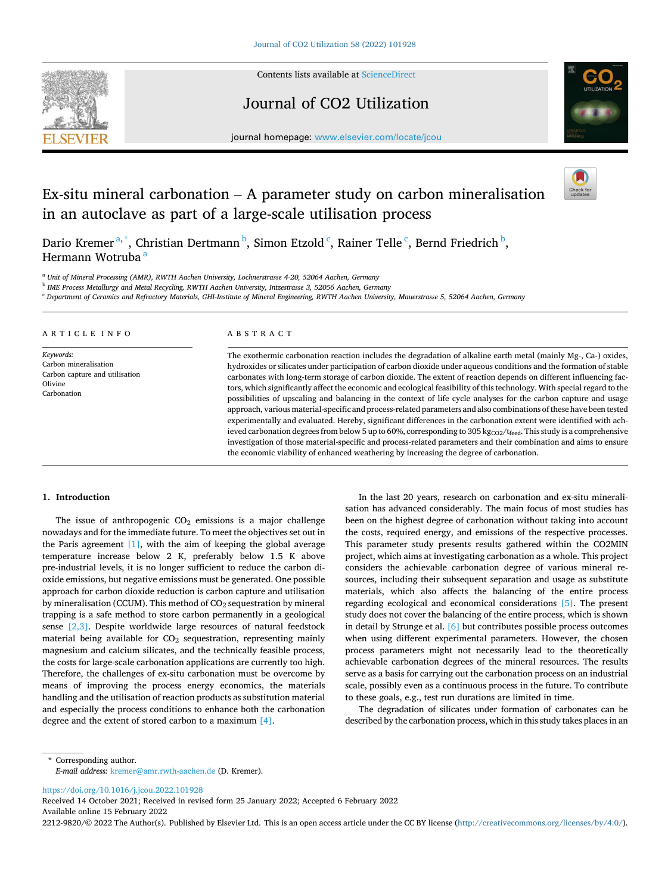

Contents lists available at [ScienceDirect](www.sciencedirect.com/science/journal/22129820)

# Journal of CO2 Utilization



journal homepage: [www.elsevier.com/locate/jcou](https://www.elsevier.com/locate/jcou)

# Ex-situ mineral carbonation – A parameter study on carbon mineralisation in an autoclave as part of a large-scale utilisation process



Dario Kremer<sup>a,\*</sup>, Christian Dertmann <sup>b</sup>, Simon Etzold <sup>c</sup>, Rainer Telle <sup>c</sup>, Bernd Friedrich <sup>b</sup>, Hermann Wotruba<sup>a</sup>

<sup>a</sup> *Unit of Mineral Processing (AMR), RWTH Aachen University, Lochnerstrasse 4-20, 52064 Aachen, Germany*

b *IME Process Metallurgy and Metal Recycling, RWTH Aachen University, Intzestrasse 3, 52056 Aachen, Germany* 

<sup>c</sup> *Department of Ceramics and Refractory Materials, GHI-Institute of Mineral Engineering, RWTH Aachen University, Mauerstrasse 5, 52064 Aachen, Germany* 

| ARTICLE INFO                                                                                   | ABSTRACT                                                                                                                                                                                                                                                                                                                                                                                                                                                                                                                                                                                                                                                                                                                                                                                                                                                                                                                                                                                                                                                                                                           |
|------------------------------------------------------------------------------------------------|--------------------------------------------------------------------------------------------------------------------------------------------------------------------------------------------------------------------------------------------------------------------------------------------------------------------------------------------------------------------------------------------------------------------------------------------------------------------------------------------------------------------------------------------------------------------------------------------------------------------------------------------------------------------------------------------------------------------------------------------------------------------------------------------------------------------------------------------------------------------------------------------------------------------------------------------------------------------------------------------------------------------------------------------------------------------------------------------------------------------|
| Keywords:<br>Carbon mineralisation<br>Carbon capture and utilisation<br>Olivine<br>Carbonation | The exothermic carbonation reaction includes the degradation of alkaline earth metal (mainly $Mg-$ , Ca-) oxides,<br>hydroxides or silicates under participation of carbon dioxide under aqueous conditions and the formation of stable<br>carbonates with long-term storage of carbon dioxide. The extent of reaction depends on different influencing fac-<br>tors, which significantly affect the economic and ecological feasibility of this technology. With special regard to the<br>possibilities of upscaling and balancing in the context of life cycle analyses for the carbon capture and usage<br>approach, various material-specific and process-related parameters and also combinations of these have been tested<br>experimentally and evaluated. Hereby, significant differences in the carbonation extent were identified with ach-<br>ieved carbonation degrees from below 5 up to 60%, corresponding to 305 kg $_{CO2}/$ f <sub>feed</sub> . This study is a comprehensive<br>investigation of those material-specific and process-related parameters and their combination and aims to ensure |

the economic viability of enhanced weathering by increasing the degree of carbonation.

### **1. Introduction**

The issue of anthropogenic  $CO<sub>2</sub>$  emissions is a major challenge nowadays and for the immediate future. To meet the objectives set out in the Paris agreement  $[1]$ , with the aim of keeping the global average temperature increase below 2 K, preferably below 1.5 K above pre-industrial levels, it is no longer sufficient to reduce the carbon dioxide emissions, but negative emissions must be generated. One possible approach for carbon dioxide reduction is carbon capture and utilisation by mineralisation (CCUM). This method of  $CO<sub>2</sub>$  sequestration by mineral trapping is a safe method to store carbon permanently in a geological sense [\[2,3\]](#page-10-0). Despite worldwide large resources of natural feedstock material being available for  $CO<sub>2</sub>$  sequestration, representing mainly magnesium and calcium silicates, and the technically feasible process, the costs for large-scale carbonation applications are currently too high. Therefore, the challenges of ex-situ carbonation must be overcome by means of improving the process energy economics, the materials handling and the utilisation of reaction products as substitution material and especially the process conditions to enhance both the carbonation degree and the extent of stored carbon to a maximum [\[4\].](#page-10-0)

In the last 20 years, research on carbonation and ex-situ mineralisation has advanced considerably. The main focus of most studies has been on the highest degree of carbonation without taking into account the costs, required energy, and emissions of the respective processes. This parameter study presents results gathered within the CO2MIN project, which aims at investigating carbonation as a whole. This project considers the achievable carbonation degree of various mineral resources, including their subsequent separation and usage as substitute materials, which also affects the balancing of the entire process regarding ecological and economical considerations [\[5\]](#page-10-0). The present study does not cover the balancing of the entire process, which is shown in detail by Strunge et al. [\[6\]](#page-10-0) but contributes possible process outcomes when using different experimental parameters. However, the chosen process parameters might not necessarily lead to the theoretically achievable carbonation degrees of the mineral resources. The results serve as a basis for carrying out the carbonation process on an industrial scale, possibly even as a continuous process in the future. To contribute to these goals, e.g., test run durations are limited in time.

The degradation of silicates under formation of carbonates can be described by the carbonation process, which in this study takes places in an

\* Corresponding author. *E-mail address:* [kremer@amr.rwth-aachen.de](mailto:kremer@amr.rwth-aachen.de) (D. Kremer).

<https://doi.org/10.1016/j.jcou.2022.101928>

Available online 15 February 2022 Received 14 October 2021; Received in revised form 25 January 2022; Accepted 6 February 2022

2212-9820/© 2022 The Author(s). Published by Elsevier Ltd. This is an open access article under the CC BY license [\(http://creativecommons.org/licenses/by/4.0/\)](http://creativecommons.org/licenses/by/4.0/).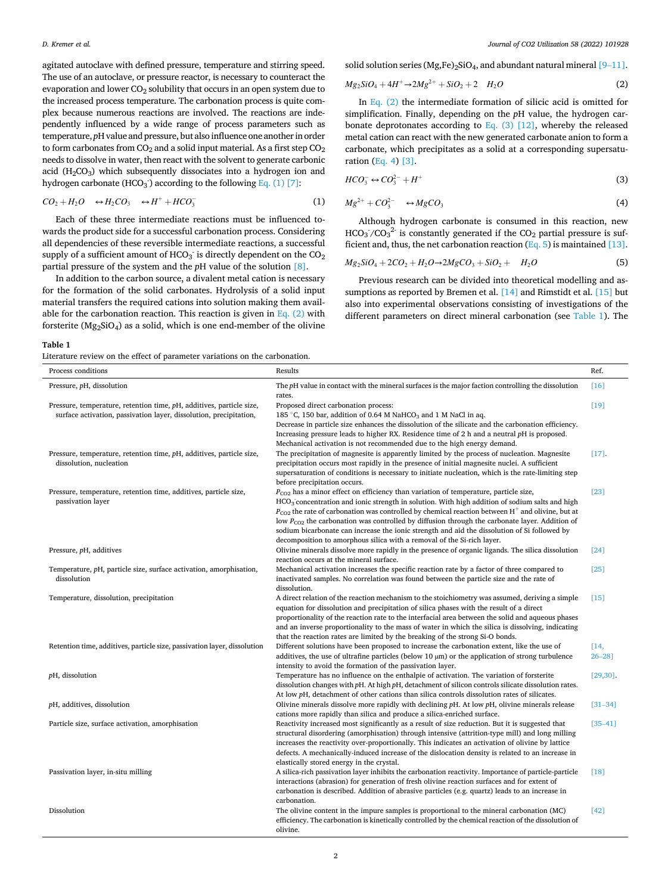<span id="page-1-0"></span>agitated autoclave with defined pressure, temperature and stirring speed. The use of an autoclave, or pressure reactor, is necessary to counteract the evaporation and lower  $CO<sub>2</sub>$  solubility that occurs in an open system due to the increased process temperature. The carbonation process is quite complex because numerous reactions are involved. The reactions are independently influenced by a wide range of process parameters such as temperature, *p*H value and pressure, but also influence one another in order to form carbonates from  $CO<sub>2</sub>$  and a solid input material. As a first step  $CO<sub>2</sub>$ needs to dissolve in water, then react with the solvent to generate carbonic acid  $(H_2CO_3)$  which subsequently dissociates into a hydrogen ion and hydrogen carbonate (HCO<sub>3</sub><sup>)</sup> according to the following Eq. (1) [\[7\]](#page-10-0):

$$
CO_2 + H_2O \quad \leftrightarrow H_2CO_3 \quad \leftrightarrow H^+ + HCO_3^- \tag{1}
$$

Each of these three intermediate reactions must be influenced towards the product side for a successful carbonation process. Considering all dependencies of these reversible intermediate reactions, a successful supply of a sufficient amount of HCO<sub>3</sub><sup> $\cdot$ </sup> is directly dependent on the CO<sub>2</sub> partial pressure of the system and the *p*H value of the solution [\[8\].](#page-10-0)

In addition to the carbon source, a divalent metal cation is necessary for the formation of the solid carbonates. Hydrolysis of a solid input material transfers the required cations into solution making them available for the carbonation reaction. This reaction is given in Eq.  $(2)$  with forsterite ( $Mg_2SiO_4$ ) as a solid, which is one end-member of the olivine

solid solution series (Mg,Fe)<sub>2</sub>SiO<sub>4</sub>, and abundant natural mineral [9–[11\]](#page-10-0).

$$
Mg_2SiO_4 + 4H^+{\to}2Mg^{2+} + SiO_2 + 2 \quad H_2O \tag{2}
$$

In Eq. (2) the intermediate formation of silicic acid is omitted for simplification. Finally, depending on the *p*H value, the hydrogen carbonate deprotonates according to Eq. (3) [\[12\]](#page-10-0), whereby the released metal cation can react with the new generated carbonate anion to form a carbonate, which precipitates as a solid at a corresponding supersaturation (Eq. 4) [\[3\].](#page-10-0)

$$
HCO_3^- \leftrightarrow CO_3^{2-} + H^+ \tag{3}
$$

$$
Mg^{2+} + CO_3^{2-} \longrightarrow MgCO_3 \tag{4}
$$

Although hydrogen carbonate is consumed in this reaction, new  $HCO<sub>3</sub>/CO<sub>3</sub><sup>2</sup>$  is constantly generated if the  $CO<sub>2</sub>$  partial pressure is sufficient and, thus, the net carbonation reaction  $(Eq. 5)$  is maintained [\[13\]](#page-10-0).

$$
Mg_2SiO_4 + 2CO_2 + H_2O \rightarrow 2MgCO_3 + SiO_2 + H_2O \tag{5}
$$

Previous research can be divided into theoretical modelling and assumptions as reported by Bremen et al. [\[14\]](#page-10-0) and Rimstidt et al. [\[15\]](#page-10-0) but also into experimental observations consisting of investigations of the different parameters on direct mineral carbonation (see Table 1). The

#### **Table 1**

Literature review on the effect of parameter variations on the carbonation.

| Process conditions                                                                                                                         | Results                                                                                                                                                                                                                                                                                                                                                                                                                                                                                                                                                                                                               | Ref.                |
|--------------------------------------------------------------------------------------------------------------------------------------------|-----------------------------------------------------------------------------------------------------------------------------------------------------------------------------------------------------------------------------------------------------------------------------------------------------------------------------------------------------------------------------------------------------------------------------------------------------------------------------------------------------------------------------------------------------------------------------------------------------------------------|---------------------|
| Pressure, pH, dissolution                                                                                                                  | The pH value in contact with the mineral surfaces is the major faction controlling the dissolution<br>rates.                                                                                                                                                                                                                                                                                                                                                                                                                                                                                                          | [16]                |
| Pressure, temperature, retention time, pH, additives, particle size,<br>surface activation, passivation layer, dissolution, precipitation, | Proposed direct carbonation process:<br>185 °C, 150 bar, addition of 0.64 M NaHCO <sub>3</sub> and 1 M NaCl in aq.<br>Decrease in particle size enhances the dissolution of the silicate and the carbonation efficiency.<br>Increasing pressure leads to higher RX. Residence time of 2 h and a neutral pH is proposed.<br>Mechanical activation is not recommended due to the high energy demand.                                                                                                                                                                                                                    | [19]                |
| Pressure, temperature, retention time, pH, additives, particle size,<br>dissolution, nucleation                                            | The precipitation of magnesite is apparently limited by the process of nucleation. Magnesite<br>precipitation occurs most rapidly in the presence of initial magnesite nuclei. A sufficient<br>supersaturation of conditions is necessary to initiate nucleation, which is the rate-limiting step<br>before precipitation occurs.                                                                                                                                                                                                                                                                                     | $[17]$              |
| Pressure, temperature, retention time, additives, particle size,<br>passivation layer                                                      | $P_{\text{CO2}}$ has a minor effect on efficiency than variation of temperature, particle size,<br>HCO <sub>3</sub> concentration and ionic strength in solution. With high addition of sodium salts and high<br>$P_{\rm CO2}$ the rate of carbonation was controlled by chemical reaction between H <sup>+</sup> and olivine, but at<br>low $P_{CO2}$ the carbonation was controlled by diffusion through the carbonate layer. Addition of<br>sodium bicarbonate can increase the ionic strength and aid the dissolution of Si followed by<br>decomposition to amorphous silica with a removal of the Si-rich layer. | [23]                |
| Pressure, pH, additives                                                                                                                    | Olivine minerals dissolve more rapidly in the presence of organic ligands. The silica dissolution<br>reaction occurs at the mineral surface.                                                                                                                                                                                                                                                                                                                                                                                                                                                                          | $[24]$              |
| Temperature, pH, particle size, surface activation, amorphisation,<br>dissolution                                                          | Mechanical activation increases the specific reaction rate by a factor of three compared to<br>inactivated samples. No correlation was found between the particle size and the rate of<br>dissolution.                                                                                                                                                                                                                                                                                                                                                                                                                | $[25]$              |
| Temperature, dissolution, precipitation                                                                                                    | A direct relation of the reaction mechanism to the stoichiometry was assumed, deriving a simple<br>equation for dissolution and precipitation of silica phases with the result of a direct<br>proportionality of the reaction rate to the interfacial area between the solid and aqueous phases<br>and an inverse proportionality to the mass of water in which the silica is dissolving, indicating<br>that the reaction rates are limited by the breaking of the strong Si-O bonds.                                                                                                                                 | [15]                |
| Retention time, additives, particle size, passivation layer, dissolution                                                                   | Different solutions have been proposed to increase the carbonation extent, like the use of<br>additives, the use of ultrafine particles (below 10 $\mu$ m) or the application of strong turbulence<br>intensity to avoid the formation of the passivation layer.                                                                                                                                                                                                                                                                                                                                                      | [14,<br>$26 - 28$ ] |
| pH, dissolution                                                                                                                            | Temperature has no influence on the enthalpie of activation. The variation of forsterite<br>dissolution changes with pH. At high pH, detachment of silicon controls silicate dissolution rates.<br>At low pH, detachment of other cations than silica controls dissolution rates of silicates.                                                                                                                                                                                                                                                                                                                        | [29, 30]            |
| pH, additives, dissolution                                                                                                                 | Olivine minerals dissolve more rapidly with declining $pH$ . At low $pH$ , olivine minerals release<br>cations more rapidly than silica and produce a silica-enriched surface.                                                                                                                                                                                                                                                                                                                                                                                                                                        | $[31 - 34]$         |
| Particle size, surface activation, amorphisation                                                                                           | Reactivity increased most significantly as a result of size reduction. But it is suggested that<br>structural disordering (amorphisation) through intensive (attrition-type mill) and long milling<br>increases the reactivity over-proportionally. This indicates an activation of olivine by lattice<br>defects. A mechanically-induced increase of the dislocation density is related to an increase in<br>elastically stored energy in the crystal.                                                                                                                                                               | $[35 - 41]$         |
| Passivation layer, in-situ milling                                                                                                         | A silica-rich passivation layer inhibits the carbonation reactivity. Importance of particle-particle<br>interactions (abrasion) for generation of fresh olivine reaction surfaces and for extent of<br>carbonation is described. Addition of abrasive particles (e.g. quartz) leads to an increase in<br>carbonation.                                                                                                                                                                                                                                                                                                 | [18]                |
| Dissolution                                                                                                                                | The olivine content in the impure samples is proportional to the mineral carbonation (MC)<br>efficiency. The carbonation is kinetically controlled by the chemical reaction of the dissolution of<br>olivine.                                                                                                                                                                                                                                                                                                                                                                                                         | [42]                |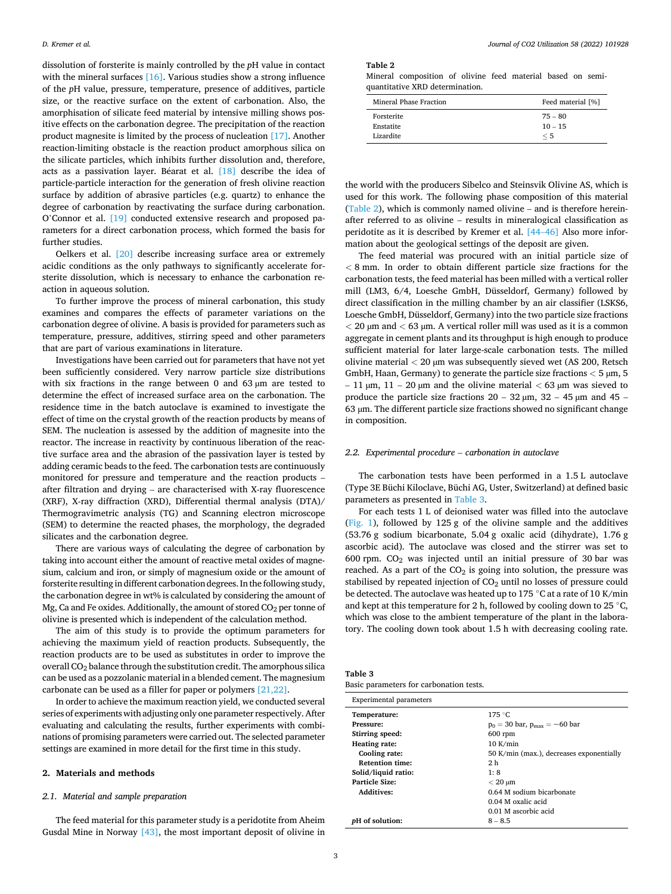<span id="page-2-0"></span>dissolution of forsterite is mainly controlled by the *p*H value in contact with the mineral surfaces  $[16]$ . Various studies show a strong influence of the *p*H value, pressure, temperature, presence of additives, particle size, or the reactive surface on the extent of carbonation. Also, the amorphisation of silicate feed material by intensive milling shows positive effects on the carbonation degree. The precipitation of the reaction product magnesite is limited by the process of nucleation [\[17\].](#page-10-0) Another reaction-limiting obstacle is the reaction product amorphous silica on the silicate particles, which inhibits further dissolution and, therefore, acts as a passivation layer. Béarat et al.  $[18]$  describe the idea of particle-particle interaction for the generation of fresh olivine reaction surface by addition of abrasive particles (e.g. quartz) to enhance the degree of carbonation by reactivating the surface during carbonation. O'Connor et al. [\[19\]](#page-10-0) conducted extensive research and proposed parameters for a direct carbonation process, which formed the basis for further studies.

Oelkers et al. [\[20\]](#page-10-0) describe increasing surface area or extremely acidic conditions as the only pathways to significantly accelerate forsterite dissolution, which is necessary to enhance the carbonation reaction in aqueous solution.

To further improve the process of mineral carbonation, this study examines and compares the effects of parameter variations on the carbonation degree of olivine. A basis is provided for parameters such as temperature, pressure, additives, stirring speed and other parameters that are part of various examinations in literature.

Investigations have been carried out for parameters that have not yet been sufficiently considered. Very narrow particle size distributions with six fractions in the range between 0 and  $63 \mu m$  are tested to determine the effect of increased surface area on the carbonation. The residence time in the batch autoclave is examined to investigate the effect of time on the crystal growth of the reaction products by means of SEM. The nucleation is assessed by the addition of magnesite into the reactor. The increase in reactivity by continuous liberation of the reactive surface area and the abrasion of the passivation layer is tested by adding ceramic beads to the feed. The carbonation tests are continuously monitored for pressure and temperature and the reaction products – after filtration and drying – are characterised with X-ray fluorescence (XRF), X-ray diffraction (XRD), Differential thermal analysis (DTA)/ Thermogravimetric analysis (TG) and Scanning electron microscope (SEM) to determine the reacted phases, the morphology, the degraded silicates and the carbonation degree.

There are various ways of calculating the degree of carbonation by taking into account either the amount of reactive metal oxides of magnesium, calcium and iron, or simply of magnesium oxide or the amount of forsterite resulting in different carbonation degrees. In the following study, the carbonation degree in wt% is calculated by considering the amount of Mg, Ca and Fe oxides. Additionally, the amount of stored  $CO<sub>2</sub>$  per tonne of olivine is presented which is independent of the calculation method.

The aim of this study is to provide the optimum parameters for achieving the maximum yield of reaction products. Subsequently, the reaction products are to be used as substitutes in order to improve the overall CO<sub>2</sub> balance through the substitution credit. The amorphous silica can be used as a pozzolanic material in a blended cement. The magnesium carbonate can be used as a filler for paper or polymers [\[21,22\]](#page-10-0).

In order to achieve the maximum reaction yield, we conducted several series of experiments with adjusting only one parameter respectively. After evaluating and calculating the results, further experiments with combinations of promising parameters were carried out. The selected parameter settings are examined in more detail for the first time in this study.

# **2. Materials and methods**

# *2.1. Material and sample preparation*

The feed material for this parameter study is a peridotite from Aheim Gusdal Mine in Norway [\[43\],](#page-11-0) the most important deposit of olivine in **Table 2** 

Mineral composition of olivine feed material based on semiquantitative XRD determination.

| Mineral Phase Fraction | Feed material [%] |
|------------------------|-------------------|
| Forsterite             | $75 - 80$         |
| Enstatite              | $10 - 15$         |
| Lizardite              | $\leq 5$          |

the world with the producers Sibelco and Steinsvik Olivine AS, which is used for this work. The following phase composition of this material (Table 2), which is commonly named olivine – and is therefore hereinafter referred to as olivine – results in mineralogical classification as peridotite as it is described by Kremer et al. [44–[46\]](#page-11-0) Also more information about the geological settings of the deposit are given.

The feed material was procured with an initial particle size of *<* 8 mm. In order to obtain different particle size fractions for the carbonation tests, the feed material has been milled with a vertical roller mill (LM3, 6/4, Loesche GmbH, Düsseldorf, Germany) followed by direct classification in the milling chamber by an air classifier (LSKS6, Loesche GmbH, Düsseldorf, Germany) into the two particle size fractions *<* 20 µm and *<* 63 µm. A vertical roller mill was used as it is a common aggregate in cement plants and its throughput is high enough to produce sufficient material for later large-scale carbonation tests. The milled olivine material *<* 20 µm was subsequently sieved wet (AS 200, Retsch GmbH, Haan, Germany) to generate the particle size fractions *<* 5 µm, 5 – 11 µm, 11 – 20 µm and the olivine material *<* 63 µm was sieved to produce the particle size fractions  $20 - 32 \mu m$ ,  $32 - 45 \mu m$  and  $45 -$ 63 µm. The different particle size fractions showed no significant change in composition.

### *2.2. Experimental procedure* – *carbonation in autoclave*

The carbonation tests have been performed in a 1.5 L autoclave (Type 3E Büchi Kiloclave, Büchi AG, Uster, Switzerland) at defined basic parameters as presented in Table 3.

For each tests 1 L of deionised water was filled into the autoclave ([Fig. 1](#page-3-0)), followed by 125 g of the olivine sample and the additives (53.76 g sodium bicarbonate, 5.04 g oxalic acid (dihydrate), 1.76 g ascorbic acid). The autoclave was closed and the stirrer was set to 600 rpm. CO2 was injected until an initial pressure of 30 bar was reached. As a part of the  $CO<sub>2</sub>$  is going into solution, the pressure was stabilised by repeated injection of  $CO<sub>2</sub>$  until no losses of pressure could be detected. The autoclave was heated up to 175 ◦C at a rate of 10 K/min and kept at this temperature for 2 h, followed by cooling down to 25  $\degree$ C, which was close to the ambient temperature of the plant in the laboratory. The cooling down took about 1.5 h with decreasing cooling rate.

| Table 3                                 |  |
|-----------------------------------------|--|
| Basic parameters for carbonation tests. |  |

| <b>Experimental parameters</b> |                                          |
|--------------------------------|------------------------------------------|
| Temperature:                   | 175 °C                                   |
| Pressure:                      | $p_0 = 30$ bar, $p_{max} = -60$ bar      |
| Stirring speed:                | $600$ rpm                                |
| Heating rate:                  | 10 K/min                                 |
| Cooling rate:                  | 50 K/min (max.), decreases exponentially |
| <b>Retention time:</b>         | 2 <sub>h</sub>                           |
| Solid/liquid ratio:            | 1:8                                      |
| Particle Size:                 | $< 20 \mu m$                             |
| <b>Additives:</b>              | 0.64 M sodium bicarbonate                |
|                                | 0.04 M oxalic acid                       |
|                                | 0.01 M ascorbic acid                     |
| <i>pH</i> of solution:         | $8 - 8.5$                                |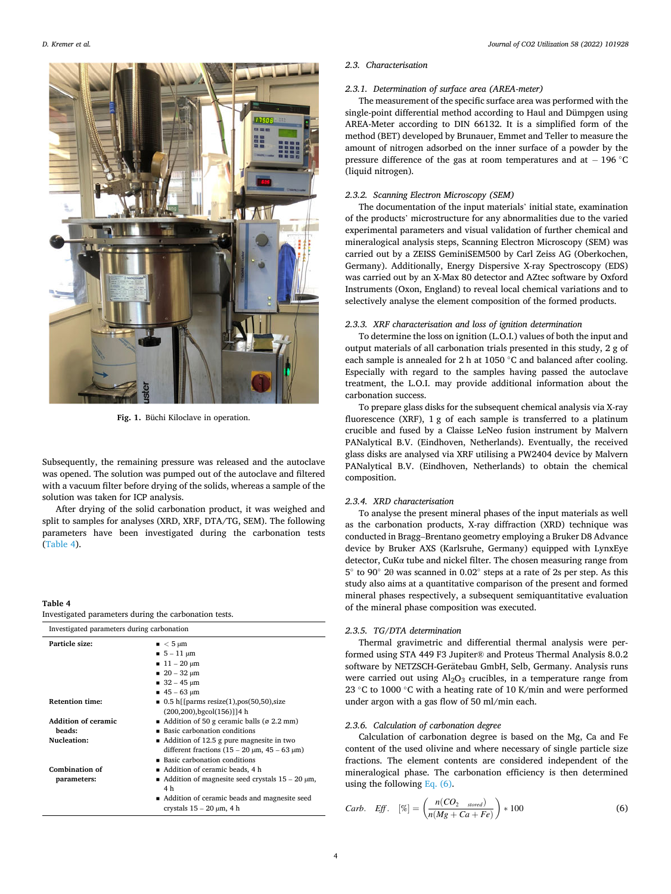<span id="page-3-0"></span>

**Fig. 1.** Büchi Kiloclave in operation.

Subsequently, the remaining pressure was released and the autoclave was opened. The solution was pumped out of the autoclave and filtered with a vacuum filter before drying of the solids, whereas a sample of the solution was taken for ICP analysis.

After drying of the solid carbonation product, it was weighed and split to samples for analyses (XRD, XRF, DTA/TG, SEM). The following parameters have been investigated during the carbonation tests (Table 4).

Investigated parameters during the carbonation tests.

### **Table 4**

| Investigated parameters during carbonation          |                                                                                                                                                                                                                                |
|-----------------------------------------------------|--------------------------------------------------------------------------------------------------------------------------------------------------------------------------------------------------------------------------------|
| Particle size:                                      | $\sim$ 5 µm<br>$= 5 - 11 \mu m$<br>$11 - 20 \mu m$<br>$20 - 32 \mu m$<br>$32 - 45 \mu m$<br>$45 - 63 \mu m$                                                                                                                    |
| <b>Retention time:</b>                              | $\blacksquare$ 0.5 h[[parms resize(1), pos(50,50), size<br>$(200, 200)$ , bgcol $(156)$ ]] 4 h                                                                                                                                 |
| <b>Addition of ceramic</b><br>beads:<br>Nucleation: | Addition of 50 g ceramic balls ( $\varnothing$ 2.2 mm)<br>■ Basic carbonation conditions<br>Addition of 12.5 g pure magnesite in two<br>different fractions $(15 - 20 \mu m, 45 - 63 \mu m)$<br>■ Basic carbonation conditions |
| Combination of<br>parameters:                       | ■ Addition of ceramic beads, 4 h<br>Addition of magnesite seed crystals $15 - 20 \mu m$ ,<br>4 h<br>■ Addition of ceramic beads and magnesite seed<br>crystals $15 - 20 \mu m$ , 4 h                                           |

### *2.3. Characterisation*

### *2.3.1. Determination of surface area (AREA-meter)*

The measurement of the specific surface area was performed with the single-point differential method according to Haul and Dümpgen using AREA-Meter according to DIN 66132. It is a simplified form of the method (BET) developed by Brunauer, Emmet and Teller to measure the amount of nitrogen adsorbed on the inner surface of a powder by the pressure difference of the gas at room temperatures and at − 196 ◦C (liquid nitrogen).

# *2.3.2. Scanning Electron Microscopy (SEM)*

The documentation of the input materials' initial state, examination of the products' microstructure for any abnormalities due to the varied experimental parameters and visual validation of further chemical and mineralogical analysis steps, Scanning Electron Microscopy (SEM) was carried out by a ZEISS GeminiSEM500 by Carl Zeiss AG (Oberkochen, Germany). Additionally, Energy Dispersive X-ray Spectroscopy (EDS) was carried out by an X-Max 80 detector and AZtec software by Oxford Instruments (Oxon, England) to reveal local chemical variations and to selectively analyse the element composition of the formed products.

## *2.3.3. XRF characterisation and loss of ignition determination*

To determine the loss on ignition (L.O.I.) values of both the input and output materials of all carbonation trials presented in this study, 2 g of each sample is annealed for 2 h at 1050 ◦C and balanced after cooling. Especially with regard to the samples having passed the autoclave treatment, the L.O.I. may provide additional information about the carbonation success.

To prepare glass disks for the subsequent chemical analysis via X-ray fluorescence (XRF), 1 g of each sample is transferred to a platinum crucible and fused by a Claisse LeNeo fusion instrument by Malvern PANalytical B.V. (Eindhoven, Netherlands). Eventually, the received glass disks are analysed via XRF utilising a PW2404 device by Malvern PANalytical B.V. (Eindhoven, Netherlands) to obtain the chemical composition.

### *2.3.4. XRD characterisation*

To analyse the present mineral phases of the input materials as well as the carbonation products, X-ray diffraction (XRD) technique was conducted in Bragg–Brentano geometry employing a Bruker D8 Advance device by Bruker AXS (Karlsruhe, Germany) equipped with LynxEye detector, CuKα tube and nickel filter. The chosen measuring range from 5 ◦ to 90◦ 2θ was scanned in 0.02◦ steps at a rate of 2s per step. As this study also aims at a quantitative comparison of the present and formed mineral phases respectively, a subsequent semiquantitative evaluation of the mineral phase composition was executed.

### *2.3.5. TG/DTA determination*

Thermal gravimetric and differential thermal analysis were performed using STA 449 F3 Jupiter® and Proteus Thermal Analysis 8.0.2 software by NETZSCH-Gerätebau GmbH, Selb, Germany. Analysis runs were carried out using  $Al_2O_3$  crucibles, in a temperature range from 23 °C to 1000 °C with a heating rate of 10 K/min and were performed under argon with a gas flow of 50 ml/min each.

### *2.3.6. Calculation of carbonation degree*

Calculation of carbonation degree is based on the Mg, Ca and Fe content of the used olivine and where necessary of single particle size fractions. The element contents are considered independent of the mineralogical phase. The carbonation efficiency is then determined using the following Eq. (6).

*Carb. Eff.* 
$$
[\%] = \left(\frac{n(CO_{2\textrm{-}stored})}{n(Mg + Ca + Fe)}\right) * 100
$$
 (6)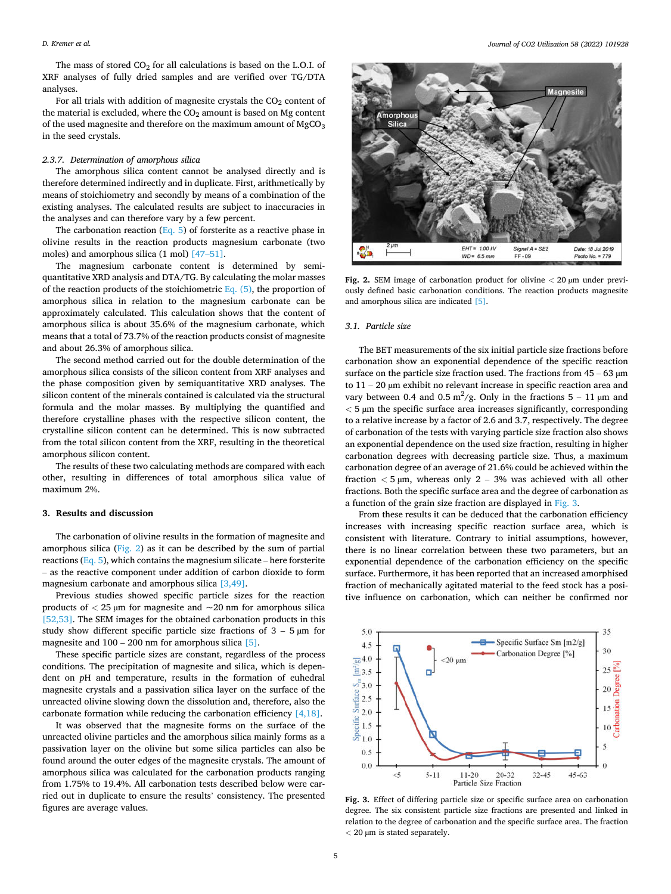The mass of stored  $CO<sub>2</sub>$  for all calculations is based on the L.O.I. of XRF analyses of fully dried samples and are verified over TG/DTA analyses.

For all trials with addition of magnesite crystals the  $CO<sub>2</sub>$  content of the material is excluded, where the  $CO<sub>2</sub>$  amount is based on Mg content of the used magnesite and therefore on the maximum amount of  $MgCO<sub>3</sub>$ in the seed crystals.

### *2.3.7. Determination of amorphous silica*

The amorphous silica content cannot be analysed directly and is therefore determined indirectly and in duplicate. First, arithmetically by means of stoichiometry and secondly by means of a combination of the existing analyses. The calculated results are subject to inaccuracies in the analyses and can therefore vary by a few percent.

The carbonation reaction [\(Eq. 5\)](#page-1-0) of forsterite as a reactive phase in olivine results in the reaction products magnesium carbonate (two moles) and amorphous silica (1 mol) [47–[51\].](#page-11-0)

The magnesium carbonate content is determined by semiquantitative XRD analysis and DTA/TG. By calculating the molar masses of the reaction products of the stoichiometric  $Eq. (5)$ , the proportion of amorphous silica in relation to the magnesium carbonate can be approximately calculated. This calculation shows that the content of amorphous silica is about 35.6% of the magnesium carbonate, which means that a total of 73.7% of the reaction products consist of magnesite and about 26.3% of amorphous silica.

The second method carried out for the double determination of the amorphous silica consists of the silicon content from XRF analyses and the phase composition given by semiquantitative XRD analyses. The silicon content of the minerals contained is calculated via the structural formula and the molar masses. By multiplying the quantified and therefore crystalline phases with the respective silicon content, the crystalline silicon content can be determined. This is now subtracted from the total silicon content from the XRF, resulting in the theoretical amorphous silicon content.

The results of these two calculating methods are compared with each other, resulting in differences of total amorphous silica value of maximum 2%.

# **3. Results and discussion**

The carbonation of olivine results in the formation of magnesite and amorphous silica (Fig. 2) as it can be described by the sum of partial reactions ( $Eq. 5$ ), which contains the magnesium silicate – here forsterite – as the reactive component under addition of carbon dioxide to form magnesium carbonate and amorphous silica [\[3,49\].](#page-10-0)

Previous studies showed specific particle sizes for the reaction products of *<* 25 µm for magnesite and ~20 nm for amorphous silica [\[52,53\].](#page-11-0) The SEM images for the obtained carbonation products in this study show different specific particle size fractions of  $3 - 5 \mu m$  for magnesite and  $100 - 200$  nm for amorphous silica [\[5\].](#page-10-0)

These specific particle sizes are constant, regardless of the process conditions. The precipitation of magnesite and silica, which is dependent on *p*H and temperature, results in the formation of euhedral magnesite crystals and a passivation silica layer on the surface of the unreacted olivine slowing down the dissolution and, therefore, also the carbonate formation while reducing the carbonation efficiency [\[4,18\]](#page-10-0).

It was observed that the magnesite forms on the surface of the unreacted olivine particles and the amorphous silica mainly forms as a passivation layer on the olivine but some silica particles can also be found around the outer edges of the magnesite crystals. The amount of amorphous silica was calculated for the carbonation products ranging from 1.75% to 19.4%. All carbonation tests described below were carried out in duplicate to ensure the results' consistency. The presented figures are average values.



**Fig. 2.** SEM image of carbonation product for olivine *<* 20 µm under previously defined basic carbonation conditions. The reaction products magnesite and amorphous silica are indicated [\[5\].](#page-10-0)

### *3.1. Particle size*

The BET measurements of the six initial particle size fractions before carbonation show an exponential dependence of the specific reaction surface on the particle size fraction used. The fractions from  $45 - 63 \mu m$ to  $11 - 20$   $\mu$ m exhibit no relevant increase in specific reaction area and vary between 0.4 and 0.5  $\text{m}^2/\text{g}$ . Only in the fractions 5 – 11 µm and *<* 5 µm the specific surface area increases significantly, corresponding to a relative increase by a factor of 2.6 and 3.7, respectively. The degree of carbonation of the tests with varying particle size fraction also shows an exponential dependence on the used size fraction, resulting in higher carbonation degrees with decreasing particle size. Thus, a maximum carbonation degree of an average of 21.6% could be achieved within the fraction  $<$  5  $\mu$ m, whereas only 2 – 3% was achieved with all other fractions. Both the specific surface area and the degree of carbonation as a function of the grain size fraction are displayed in Fig. 3.

From these results it can be deduced that the carbonation efficiency increases with increasing specific reaction surface area, which is consistent with literature. Contrary to initial assumptions, however, there is no linear correlation between these two parameters, but an exponential dependence of the carbonation efficiency on the specific surface. Furthermore, it has been reported that an increased amorphised fraction of mechanically agitated material to the feed stock has a positive influence on carbonation, which can neither be confirmed nor



**Fig. 3.** Effect of differing particle size or specific surface area on carbonation degree. The six consistent particle size fractions are presented and linked in relation to the degree of carbonation and the specific surface area. The fraction *<* 20 µm is stated separately.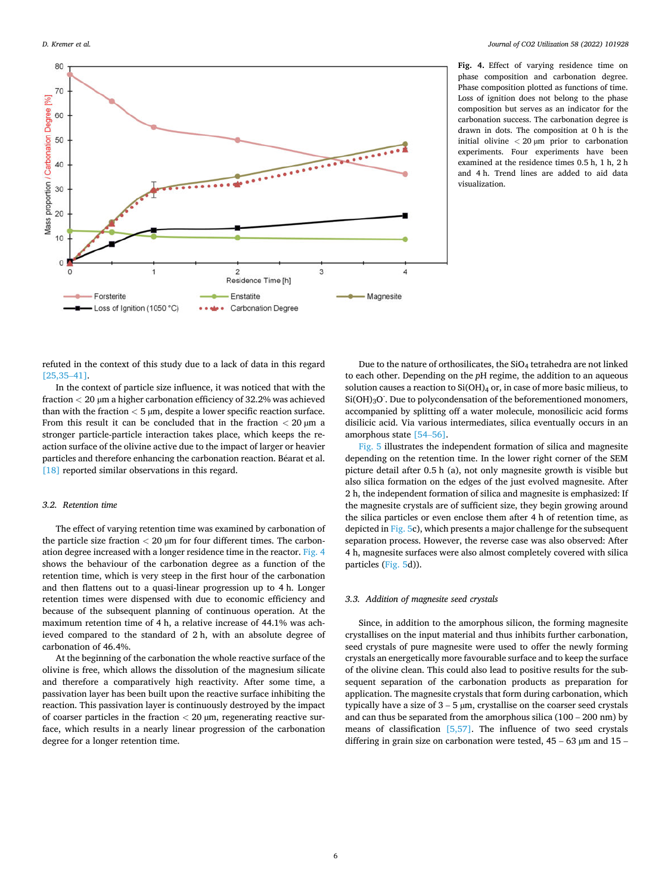<span id="page-5-0"></span>

**Fig. 4.** Effect of varying residence time on phase composition and carbonation degree. Phase composition plotted as functions of time. Loss of ignition does not belong to the phase composition but serves as an indicator for the carbonation success. The carbonation degree is drawn in dots. The composition at 0 h is the initial olivine *<* 20 µm prior to carbonation experiments. Four experiments have been examined at the residence times 0.5 h, 1 h, 2 h and 4 h. Trend lines are added to aid data visualization.

refuted in the context of this study due to a lack of data in this regard [\[25,35](#page-10-0)–41].

In the context of particle size influence, it was noticed that with the fraction *<* 20 µm a higher carbonation efficiency of 32.2% was achieved than with the fraction  $<$  5  $\mu$ m, despite a lower specific reaction surface. From this result it can be concluded that in the fraction *<* 20 µm a stronger particle-particle interaction takes place, which keeps the reaction surface of the olivine active due to the impact of larger or heavier particles and therefore enhancing the carbonation reaction. Béarat et al. [\[18\]](#page-10-0) reported similar observations in this regard.

# *3.2. Retention time*

The effect of varying retention time was examined by carbonation of the particle size fraction *<* 20 µm for four different times. The carbonation degree increased with a longer residence time in the reactor. Fig. 4 shows the behaviour of the carbonation degree as a function of the retention time, which is very steep in the first hour of the carbonation and then flattens out to a quasi-linear progression up to 4 h. Longer retention times were dispensed with due to economic efficiency and because of the subsequent planning of continuous operation. At the maximum retention time of 4 h, a relative increase of 44.1% was achieved compared to the standard of 2 h, with an absolute degree of carbonation of 46.4%.

At the beginning of the carbonation the whole reactive surface of the olivine is free, which allows the dissolution of the magnesium silicate and therefore a comparatively high reactivity. After some time, a passivation layer has been built upon the reactive surface inhibiting the reaction. This passivation layer is continuously destroyed by the impact of coarser particles in the fraction *<* 20 µm, regenerating reactive surface, which results in a nearly linear progression of the carbonation degree for a longer retention time.

Due to the nature of orthosilicates, the SiO<sub>4</sub> tetrahedra are not linked to each other. Depending on the *p*H regime, the addition to an aqueous solution causes a reaction to  $Si(OH)_4$  or, in case of more basic milieus, to  $\rm Si(OH)_3O$  . Due to polycondensation of the beforementioned monomers, accompanied by splitting off a water molecule, monosilicic acid forms disilicic acid. Via various intermediates, silica eventually occurs in an amorphous state [\[54](#page-11-0)–56].

[Fig. 5](#page-6-0) illustrates the independent formation of silica and magnesite depending on the retention time. In the lower right corner of the SEM picture detail after 0.5 h (a), not only magnesite growth is visible but also silica formation on the edges of the just evolved magnesite. After 2 h, the independent formation of silica and magnesite is emphasized: If the magnesite crystals are of sufficient size, they begin growing around the silica particles or even enclose them after 4 h of retention time, as depicted in [Fig. 5](#page-6-0)c), which presents a major challenge for the subsequent separation process. However, the reverse case was also observed: After 4 h, magnesite surfaces were also almost completely covered with silica particles ([Fig. 5d](#page-6-0))).

### *3.3. Addition of magnesite seed crystals*

Since, in addition to the amorphous silicon, the forming magnesite crystallises on the input material and thus inhibits further carbonation, seed crystals of pure magnesite were used to offer the newly forming crystals an energetically more favourable surface and to keep the surface of the olivine clean. This could also lead to positive results for the subsequent separation of the carbonation products as preparation for application. The magnesite crystals that form during carbonation, which typically have a size of  $3 - 5 \mu m$ , crystallise on the coarser seed crystals and can thus be separated from the amorphous silica (100 – 200 nm) by means of classification [\[5,57\].](#page-10-0) The influence of two seed crystals differing in grain size on carbonation were tested,  $45 - 63 \mu m$  and  $15 -$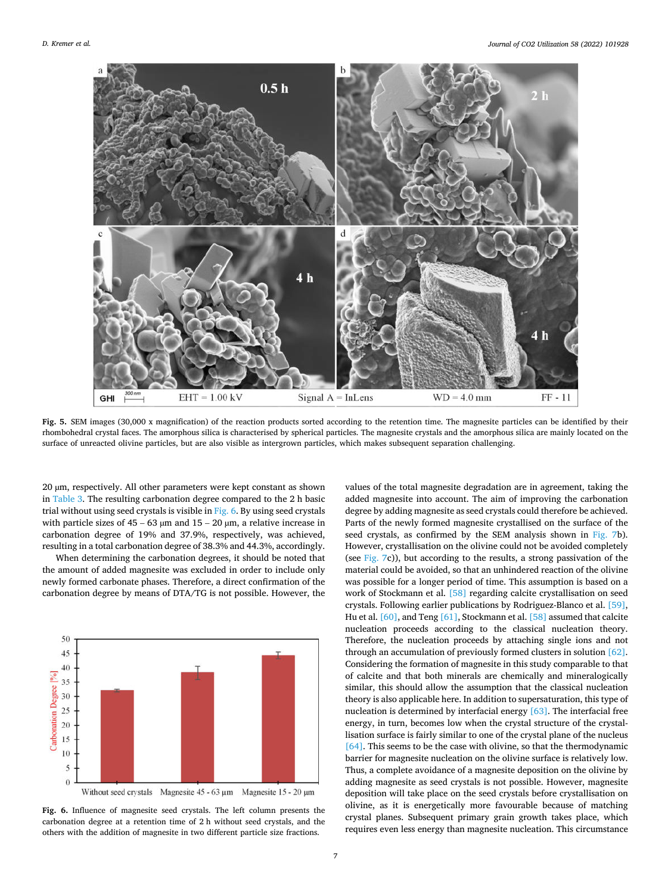<span id="page-6-0"></span>

**Fig. 5.** SEM images (30,000 x magnification) of the reaction products sorted according to the retention time. The magnesite particles can be identified by their rhombohedral crystal faces. The amorphous silica is characterised by spherical particles. The magnesite crystals and the amorphous silica are mainly located on the surface of unreacted olivine particles, but are also visible as intergrown particles, which makes subsequent separation challenging.

20 µm, respectively. All other parameters were kept constant as shown in [Table 3](#page-2-0). The resulting carbonation degree compared to the 2 h basic trial without using seed crystals is visible in Fig. 6. By using seed crystals with particle sizes of  $45 - 63 \mu m$  and  $15 - 20 \mu m$ , a relative increase in carbonation degree of 19% and 37.9%, respectively, was achieved, resulting in a total carbonation degree of 38.3% and 44.3%, accordingly.

When determining the carbonation degrees, it should be noted that the amount of added magnesite was excluded in order to include only newly formed carbonate phases. Therefore, a direct confirmation of the carbonation degree by means of DTA/TG is not possible. However, the



**Fig. 6.** Influence of magnesite seed crystals. The left column presents the carbonation degree at a retention time of 2 h without seed crystals, and the others with the addition of magnesite in two different particle size fractions.

values of the total magnesite degradation are in agreement, taking the added magnesite into account. The aim of improving the carbonation degree by adding magnesite as seed crystals could therefore be achieved. Parts of the newly formed magnesite crystallised on the surface of the seed crystals, as confirmed by the SEM analysis shown in [Fig. 7b](#page-7-0)). However, crystallisation on the olivine could not be avoided completely (see [Fig. 7c](#page-7-0))), but according to the results, a strong passivation of the material could be avoided, so that an unhindered reaction of the olivine was possible for a longer period of time. This assumption is based on a work of Stockmann et al. [\[58\]](#page-11-0) regarding calcite crystallisation on seed crystals. Following earlier publications by Rodriguez-Blanco et al. [\[59\]](#page-11-0), Hu et al. [\[60\]](#page-11-0), and Teng [\[61\],](#page-11-0) Stockmann et al. [\[58\]](#page-11-0) assumed that calcite nucleation proceeds according to the classical nucleation theory. Therefore, the nucleation proceeds by attaching single ions and not through an accumulation of previously formed clusters in solution [\[62\]](#page-11-0). Considering the formation of magnesite in this study comparable to that of calcite and that both minerals are chemically and mineralogically similar, this should allow the assumption that the classical nucleation theory is also applicable here. In addition to supersaturation, this type of nucleation is determined by interfacial energy [\[63\]](#page-11-0). The interfacial free energy, in turn, becomes low when the crystal structure of the crystallisation surface is fairly similar to one of the crystal plane of the nucleus [\[64\]](#page-11-0). This seems to be the case with olivine, so that the thermodynamic barrier for magnesite nucleation on the olivine surface is relatively low. Thus, a complete avoidance of a magnesite deposition on the olivine by adding magnesite as seed crystals is not possible. However, magnesite deposition will take place on the seed crystals before crystallisation on olivine, as it is energetically more favourable because of matching crystal planes. Subsequent primary grain growth takes place, which requires even less energy than magnesite nucleation. This circumstance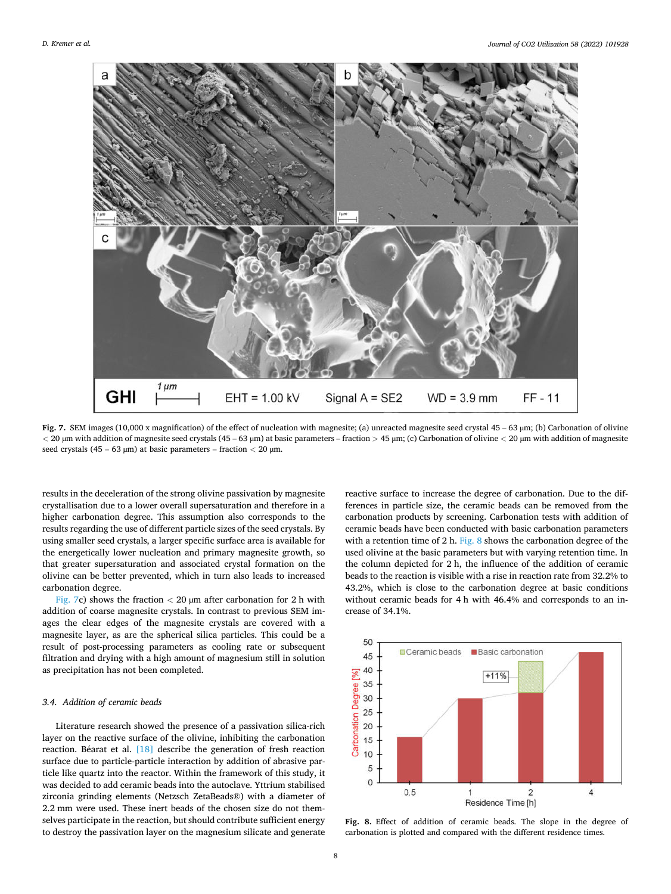<span id="page-7-0"></span>

**Fig. 7.** SEM images (10,000 x magnification) of the effect of nucleation with magnesite; (a) unreacted magnesite seed crystal 45 – 63 µm; (b) Carbonation of olivine *<* 20 µm with addition of magnesite seed crystals (45 – 63 µm) at basic parameters – fraction *>* 45 µm; (c) Carbonation of olivine *<* 20 µm with addition of magnesite seed crystals (45 – 63 µm) at basic parameters – fraction *<* 20 µm.

results in the deceleration of the strong olivine passivation by magnesite crystallisation due to a lower overall supersaturation and therefore in a higher carbonation degree. This assumption also corresponds to the results regarding the use of different particle sizes of the seed crystals. By using smaller seed crystals, a larger specific surface area is available for the energetically lower nucleation and primary magnesite growth, so that greater supersaturation and associated crystal formation on the olivine can be better prevented, which in turn also leads to increased carbonation degree.

Fig. 7c) shows the fraction  $<$  20  $\mu$ m after carbonation for 2 h with addition of coarse magnesite crystals. In contrast to previous SEM images the clear edges of the magnesite crystals are covered with a magnesite layer, as are the spherical silica particles. This could be a result of post-processing parameters as cooling rate or subsequent filtration and drying with a high amount of magnesium still in solution as precipitation has not been completed.

# *3.4. Addition of ceramic beads*

Literature research showed the presence of a passivation silica-rich layer on the reactive surface of the olivine, inhibiting the carbonation reaction. Béarat et al.  $[18]$  describe the generation of fresh reaction surface due to particle-particle interaction by addition of abrasive particle like quartz into the reactor. Within the framework of this study, it was decided to add ceramic beads into the autoclave. Yttrium stabilised zirconia grinding elements (Netzsch ZetaBeads®) with a diameter of 2.2 mm were used. These inert beads of the chosen size do not themselves participate in the reaction, but should contribute sufficient energy to destroy the passivation layer on the magnesium silicate and generate reactive surface to increase the degree of carbonation. Due to the differences in particle size, the ceramic beads can be removed from the carbonation products by screening. Carbonation tests with addition of ceramic beads have been conducted with basic carbonation parameters with a retention time of 2 h. Fig. 8 shows the carbonation degree of the used olivine at the basic parameters but with varying retention time. In the column depicted for 2 h, the influence of the addition of ceramic beads to the reaction is visible with a rise in reaction rate from 32.2% to 43.2%, which is close to the carbonation degree at basic conditions without ceramic beads for 4 h with 46.4% and corresponds to an increase of 34.1%.



**Fig. 8.** Effect of addition of ceramic beads. The slope in the degree of carbonation is plotted and compared with the different residence times.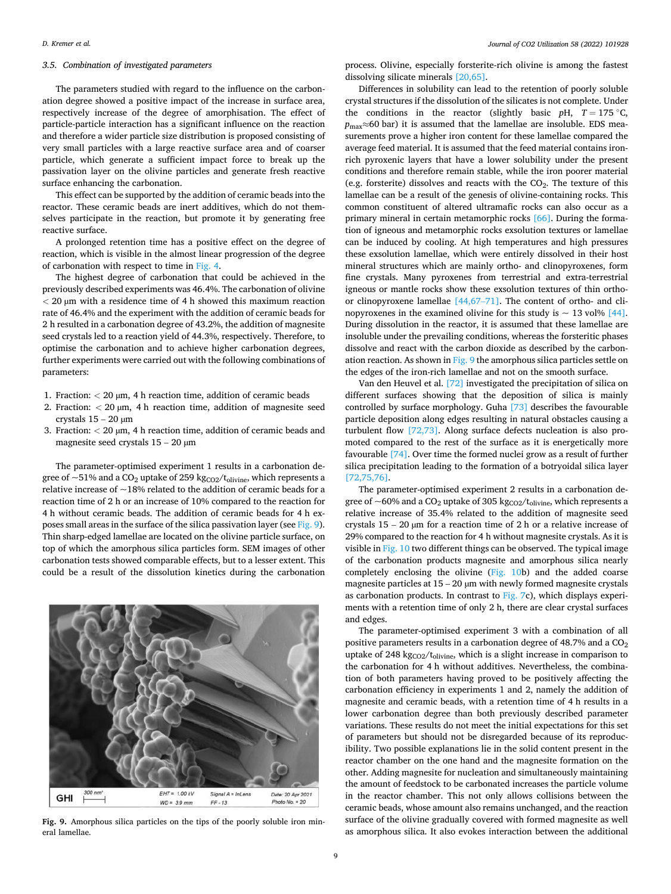# *3.5. Combination of investigated parameters*

The parameters studied with regard to the influence on the carbonation degree showed a positive impact of the increase in surface area, respectively increase of the degree of amorphisation. The effect of particle-particle interaction has a significant influence on the reaction and therefore a wider particle size distribution is proposed consisting of very small particles with a large reactive surface area and of coarser particle, which generate a sufficient impact force to break up the passivation layer on the olivine particles and generate fresh reactive surface enhancing the carbonation.

This effect can be supported by the addition of ceramic beads into the reactor. These ceramic beads are inert additives, which do not themselves participate in the reaction, but promote it by generating free reactive surface.

A prolonged retention time has a positive effect on the degree of reaction, which is visible in the almost linear progression of the degree of carbonation with respect to time in [Fig. 4](#page-5-0).

The highest degree of carbonation that could be achieved in the previously described experiments was 46.4%. The carbonation of olivine *<* 20 µm with a residence time of 4 h showed this maximum reaction rate of 46.4% and the experiment with the addition of ceramic beads for 2 h resulted in a carbonation degree of 43.2%, the addition of magnesite seed crystals led to a reaction yield of 44.3%, respectively. Therefore, to optimise the carbonation and to achieve higher carbonation degrees, further experiments were carried out with the following combinations of parameters:

- 1. Fraction: *<* 20 µm, 4 h reaction time, addition of ceramic beads
- 2. Fraction:  $<$  20  $\mu$ m, 4 h reaction time, addition of magnesite seed crystals  $15 - 20 \mu m$
- 3. Fraction: *<* 20 µm, 4 h reaction time, addition of ceramic beads and magnesite seed crystals 15 – 20 µm

The parameter-optimised experiment 1 results in a carbonation degree of  $\sim$ 51% and a CO<sub>2</sub> uptake of 259 kg<sub>CO2</sub>/t<sub>olivine</sub>, which represents a relative increase of  $\sim$ 18% related to the addition of ceramic beads for a reaction time of 2 h or an increase of 10% compared to the reaction for 4 h without ceramic beads. The addition of ceramic beads for 4 h exposes small areas in the surface of the silica passivation layer (see Fig. 9). Thin sharp-edged lamellae are located on the olivine particle surface, on top of which the amorphous silica particles form. SEM images of other carbonation tests showed comparable effects, but to a lesser extent. This could be a result of the dissolution kinetics during the carbonation



**Fig. 9.** Amorphous silica particles on the tips of the poorly soluble iron mineral lamellae.

process. Olivine, especially forsterite-rich olivine is among the fastest dissolving silicate minerals [\[20,65\]](#page-10-0).

Differences in solubility can lead to the retention of poorly soluble crystal structures if the dissolution of the silicates is not complete. Under the conditions in the reactor (slightly basic  $p$ H,  $T = 175 °C$ , *p*<sub>max</sub>≈60 bar) it is assumed that the lamellae are insoluble. EDS measurements prove a higher iron content for these lamellae compared the average feed material. It is assumed that the feed material contains ironrich pyroxenic layers that have a lower solubility under the present conditions and therefore remain stable, while the iron poorer material (e.g. forsterite) dissolves and reacts with the  $CO<sub>2</sub>$ . The texture of this lamellae can be a result of the genesis of olivine-containing rocks. This common constituent of altered ultramafic rocks can also occur as a primary mineral in certain metamorphic rocks [\[66\]](#page-11-0). During the formation of igneous and metamorphic rocks exsolution textures or lamellae can be induced by cooling. At high temperatures and high pressures these exsolution lamellae, which were entirely dissolved in their host mineral structures which are mainly ortho- and clinopyroxenes, form fine crystals. Many pyroxenes from terrestrial and extra-terrestrial igneous or mantle rocks show these exsolution textures of thin orthoor clinopyroxene lamellae [\[44,67](#page-11-0)–71]. The content of ortho- and clinopyroxenes in the examined olivine for this study is  $\sim 13$  vol% [\[44\]](#page-11-0). During dissolution in the reactor, it is assumed that these lamellae are insoluble under the prevailing conditions, whereas the forsteritic phases dissolve and react with the carbon dioxide as described by the carbonation reaction. As shown in Fig. 9 the amorphous silica particles settle on the edges of the iron-rich lamellae and not on the smooth surface.

Van den Heuvel et al. [\[72\]](#page-11-0) investigated the precipitation of silica on different surfaces showing that the deposition of silica is mainly controlled by surface morphology. Guha [\[73\]](#page-11-0) describes the favourable particle deposition along edges resulting in natural obstacles causing a turbulent flow [\[72,73\]](#page-11-0). Along surface defects nucleation is also promoted compared to the rest of the surface as it is energetically more favourable [\[74\].](#page-11-0) Over time the formed nuclei grow as a result of further silica precipitation leading to the formation of a botryoidal silica layer [\[72,75,76\].](#page-11-0)

The parameter-optimised experiment 2 results in a carbonation degree of  $\sim$  60% and a CO<sub>2</sub> uptake of 305 kg<sub>CO2</sub>/t<sub>olivine</sub>, which represents a relative increase of 35.4% related to the addition of magnesite seed crystals  $15 - 20 \mu m$  for a reaction time of 2 h or a relative increase of 29% compared to the reaction for 4 h without magnesite crystals. As it is visible in [Fig. 10](#page-9-0) two different things can be observed. The typical image of the carbonation products magnesite and amorphous silica nearly completely enclosing the olivine [\(Fig. 10](#page-9-0)b) and the added coarse magnesite particles at  $15 - 20 \mu m$  with newly formed magnesite crystals as carbonation products. In contrast to [Fig. 7c](#page-7-0)), which displays experiments with a retention time of only 2 h, there are clear crystal surfaces and edges.

The parameter-optimised experiment 3 with a combination of all positive parameters results in a carbonation degree of 48.7% and a  $CO<sub>2</sub>$ uptake of 248 kg $_{CO2}/t_{olivine}$ , which is a slight increase in comparison to the carbonation for 4 h without additives. Nevertheless, the combination of both parameters having proved to be positively affecting the carbonation efficiency in experiments 1 and 2, namely the addition of magnesite and ceramic beads, with a retention time of 4 h results in a lower carbonation degree than both previously described parameter variations. These results do not meet the initial expectations for this set of parameters but should not be disregarded because of its reproducibility. Two possible explanations lie in the solid content present in the reactor chamber on the one hand and the magnesite formation on the other. Adding magnesite for nucleation and simultaneously maintaining the amount of feedstock to be carbonated increases the particle volume in the reactor chamber. This not only allows collisions between the ceramic beads, whose amount also remains unchanged, and the reaction surface of the olivine gradually covered with formed magnesite as well as amorphous silica. It also evokes interaction between the additional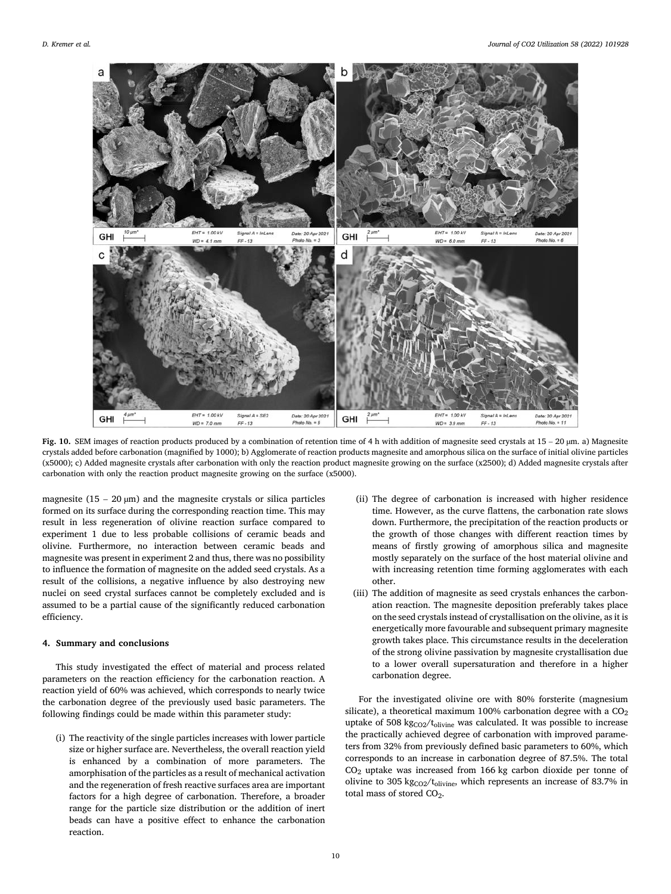<span id="page-9-0"></span>

**Fig. 10.** SEM images of reaction products produced by a combination of retention time of 4 h with addition of magnesite seed crystals at 15 – 20 µm. a) Magnesite crystals added before carbonation (magnified by 1000); b) Agglomerate of reaction products magnesite and amorphous silica on the surface of initial olivine particles (x5000); c) Added magnesite crystals after carbonation with only the reaction product magnesite growing on the surface (x2500); d) Added magnesite crystals after carbonation with only the reaction product magnesite growing on the surface (x5000).

magnesite ( $15 - 20 \mu m$ ) and the magnesite crystals or silica particles formed on its surface during the corresponding reaction time. This may result in less regeneration of olivine reaction surface compared to experiment 1 due to less probable collisions of ceramic beads and olivine. Furthermore, no interaction between ceramic beads and magnesite was present in experiment 2 and thus, there was no possibility to influence the formation of magnesite on the added seed crystals. As a result of the collisions, a negative influence by also destroying new nuclei on seed crystal surfaces cannot be completely excluded and is assumed to be a partial cause of the significantly reduced carbonation efficiency.

# **4. Summary and conclusions**

This study investigated the effect of material and process related parameters on the reaction efficiency for the carbonation reaction. A reaction yield of 60% was achieved, which corresponds to nearly twice the carbonation degree of the previously used basic parameters. The following findings could be made within this parameter study:

(i) The reactivity of the single particles increases with lower particle size or higher surface are. Nevertheless, the overall reaction yield is enhanced by a combination of more parameters. The amorphisation of the particles as a result of mechanical activation and the regeneration of fresh reactive surfaces area are important factors for a high degree of carbonation. Therefore, a broader range for the particle size distribution or the addition of inert beads can have a positive effect to enhance the carbonation reaction.

- (ii) The degree of carbonation is increased with higher residence time. However, as the curve flattens, the carbonation rate slows down. Furthermore, the precipitation of the reaction products or the growth of those changes with different reaction times by means of firstly growing of amorphous silica and magnesite mostly separately on the surface of the host material olivine and with increasing retention time forming agglomerates with each other.
- (iii) The addition of magnesite as seed crystals enhances the carbonation reaction. The magnesite deposition preferably takes place on the seed crystals instead of crystallisation on the olivine, as it is energetically more favourable and subsequent primary magnesite growth takes place. This circumstance results in the deceleration of the strong olivine passivation by magnesite crystallisation due to a lower overall supersaturation and therefore in a higher carbonation degree.

For the investigated olivine ore with 80% forsterite (magnesium silicate), a theoretical maximum 100% carbonation degree with a  $CO<sub>2</sub>$ uptake of 508 kg $_{\rm CO2}/t_{\rm olivine}$  was calculated. It was possible to increase the practically achieved degree of carbonation with improved parameters from 32% from previously defined basic parameters to 60%, which corresponds to an increase in carbonation degree of 87.5%. The total CO2 uptake was increased from 166 kg carbon dioxide per tonne of olivine to 305 kg $_{CO2}/t_{olivine}$ , which represents an increase of 83.7% in total mass of stored CO<sub>2</sub>.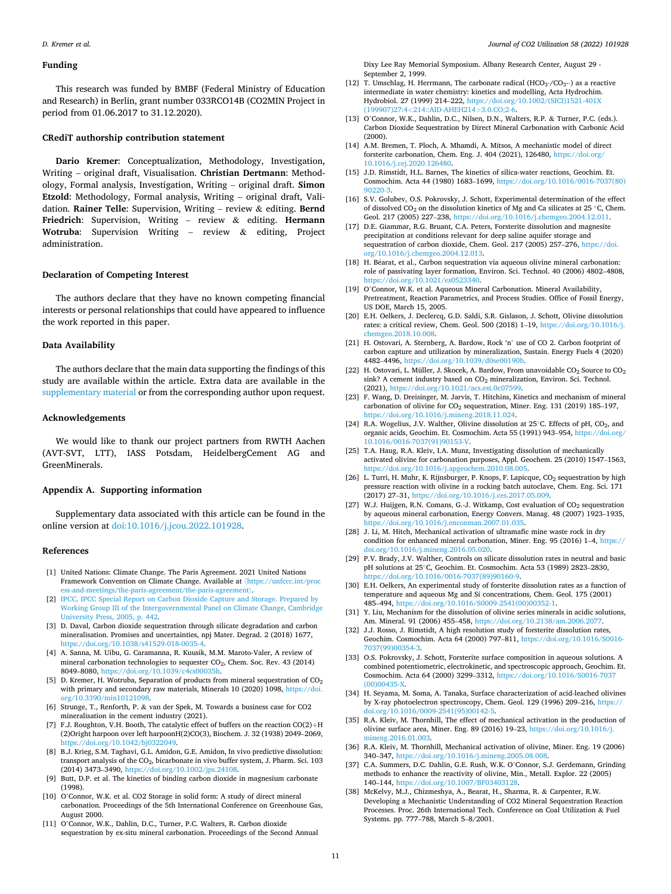### <span id="page-10-0"></span>**Funding**

This research was funded by BMBF (Federal Ministry of Education and Research) in Berlin, grant number 033RCO14B (CO2MIN Project in period from 01.06.2017 to 31.12.2020).

### **CRediT authorship contribution statement**

**Dario Kremer**: Conceptualization, Methodology, Investigation, Writing – original draft, Visualisation. **Christian Dertmann**: Methodology, Formal analysis, Investigation, Writing – original draft. **Simon Etzold**: Methodology, Formal analysis, Writing – original draft, Validation. **Rainer Telle**: Supervision, Writing – review & editing. **Bernd Friedrich**: Supervision, Writing – review & editing. **Hermann Wotruba**: Supervision Writing – review & editing, Project administration.

# **Declaration of Competing Interest**

The authors declare that they have no known competing financial interests or personal relationships that could have appeared to influence the work reported in this paper.

# **Data Availability**

The authors declare that the main data supporting the findings of this study are available within the article. Extra data are available in the supplementary material or from the corresponding author upon request.

# **Acknowledgements**

We would like to thank our project partners from RWTH Aachen (AVT-SVT, LTT), IASS Potsdam, HeidelbergCement AG and GreenMinerals.

### **Appendix A. Supporting information**

Supplementary data associated with this article can be found in the online version at [doi:10.1016/j.jcou.2022.101928.](https://doi.org/10.1016/j.jcou.2022.101928)

### **References**

- [1] United Nations: Climate Change. The Paris Agreement. 2021 United Nations Framework Convention on Climate Change. Available at 〈[https://unfccc.int/proc](https://unfccc.int/process-and-meetings/the-paris-agreement/the-paris-agreement)  [ess-and-meetings/the-paris-agreement/the-paris-agreement](https://unfccc.int/process-and-meetings/the-paris-agreement/the-paris-agreement)〉.
- [2] [IPCC, IPCC Special Report on Carbon Dioxide Capture and Storage. Prepared by](http://refhub.elsevier.com/S2212-9820(22)00047-6/sbref1)  [Working Group III of the Intergovernmental Panel on Climate Change, Cambridge](http://refhub.elsevier.com/S2212-9820(22)00047-6/sbref1)  [University Press, 2005, p. 442](http://refhub.elsevier.com/S2212-9820(22)00047-6/sbref1).
- [3] D. Daval, Carbon dioxide sequestration through silicate degradation and carbon mineralisation. Promises and uncertainties, npj Mater. Degrad. 2 (2018) 1677, <https://doi.org/10.1038/s41529-018-0035-4>.
- [4] A. Sanna, M. Uibu, G. Caramanna, R. Kuusik, M.M. Maroto-Valer, A review of mineral carbonation technologies to sequester CO<sub>2</sub>, Chem. Soc. Rev. 43 (2014) 8049–8080, <https://doi.org/10.1039/c4cs00035h>.
- [5] D. Kremer, H. Wotruba, Separation of products from mineral sequestration of  $CO<sub>2</sub>$ with primary and secondary raw materials, Minerals 10 (2020) 1098, https://doi. [org/10.3390/min10121098.](https://doi.org/10.3390/min10121098)
- [6] Strunge, T., Renforth, P. & van der Spek, M. Towards a business case for CO2 mineralisation in the cement industry (2021).
- [7] F.J. Roughton, V.H. Booth, The catalytic effect of buffers on the reaction CO(2)+H (2)Oright harpoon over left harpoonH(2)CO(3), Biochem. J. 32 (1938) 2049–2069, <https://doi.org/10.1042/bj0322049>.
- [8] B.J. Krieg, S.M. Taghavi, G.L. Amidon, G.E. Amidon, In vivo predictive dissolution: transport analysis of the  $\mathrm{CO}_2$  bicarbonate in vivo buffer system, J. Pharm. Sci. 103 (2014) 3473–3490, [https://doi.org/10.1002/jps.24108.](https://doi.org/10.1002/jps.24108)
- [9] Butt, D.P. et al. The kinetics of binding carbon dioxide in magnesium carbonate (1998).
- [10] O'Connor, W.K. et al. CO2 Storage in solid form: A study of direct mineral carbonation. Proceedings of the 5th International Conference on Greenhouse Gas, August 2000.
- [11] O'Connor, W.K., Dahlin, D.C., Turner, P.C. Walters, R. Carbon dioxide sequestration by ex-situ mineral carbonation. Proceedings of the Second Annual

Dixy Lee Ray Memorial Symposium. Albany Research Center, August 29 - September 2, 1999.

- [12] T. Umschlag, H. Herrmann, The carbonate radical (HCO<sub>3</sub>⋅/CO<sub>3</sub>-⋅) as a reactive intermediate in water chemistry: kinetics and modelling, Acta Hydrochim. Hydrobiol. 27 (1999) 214–222, [https://doi.org/10.1002/\(SICI\)1521-401X](https://doi.org/10.1002/(SICI)1521-401X(199907)27:4<214::AID-AHEH214>3.0.CO;2-6) (199907)27:4*<*[214::AID-AHEH214](https://doi.org/10.1002/(SICI)1521-401X(199907)27:4<214::AID-AHEH214>3.0.CO;2-6)*>*3.0.CO;2-6.
- [13] O'Connor, W.K., Dahlin, D.C., Nilsen, D.N., Walters, R.P. & Turner, P.C. (eds.). *C*arbon Dioxide Sequestration by Direct Mineral Carbonation with Carbonic Acid (2000).
- [14] A.M. Bremen, T. Ploch, A. Mhamdi, A. Mitsos, A mechanistic model of direct forsterite carbonation, Chem. Eng. J. 404 (2021), 126480, [https://doi.org/](https://doi.org/10.1016/j.cej.2020.126480)  [10.1016/j.cej.2020.126480.](https://doi.org/10.1016/j.cej.2020.126480)
- [15] J.D. Rimstidt, H.L. Barnes, The kinetics of silica-water reactions, Geochim. Et. Cosmochim. Acta 44 (1980) 1683–1699, [https://doi.org/10.1016/0016-7037\(80\)](https://doi.org/10.1016/0016-7037(80)90220-3)
- [90220-3.](https://doi.org/10.1016/0016-7037(80)90220-3) [16] S.V. Golubev, O.S. Pokrovsky, J. Schott, Experimental determination of the effect of dissolved CO<sub>2</sub> on the dissolution kinetics of Mg and Ca silicates at 25 °C, Chem. Geol. 217 (2005) 227–238, <https://doi.org/10.1016/j.chemgeo.2004.12.011>.
- [17] D.E. Giammar, R.G. Bruant, C.A. Peters, Forsterite dissolution and magnesite precipitation at conditions relevant for deep saline aquifer storage and sequestration of carbon dioxide, Chem. Geol. 217 (2005) 257–276, [https://doi.](https://doi.org/10.1016/j.chemgeo.2004.12.013) [org/10.1016/j.chemgeo.2004.12.013](https://doi.org/10.1016/j.chemgeo.2004.12.013).
- [18] H. Béarat, et al., Carbon sequestration via aqueous olivine mineral carbonation: role of passivating layer formation, Environ. Sci. Technol. 40 (2006) 4802–4808, [https://doi.org/10.1021/es0523340.](https://doi.org/10.1021/es0523340)
- [19] O'Connor, W.K. et al. Aqueous Mineral Carbonation. Mineral Availability, Pretreatment, Reaction Parametrics, and Process Studies. Office of Fossil Energy, US DOE, March 15, 2005.
- [20] E.H. Oelkers, J. Declercq, G.D. Saldi, S.R. Gislason, J. Schott, Olivine dissolution rates: a critical review, Chem. Geol. 500 (2018) 1–19, [https://doi.org/10.1016/j.](https://doi.org/10.1016/j.chemgeo.2018.10.008) hemgeo.2018.10.008.
- [21] H. Ostovari, A. Sternberg, A. Bardow, Rock 'n' use of CO 2. Carbon footprint of carbon capture and utilization by mineralization, Sustain. Energy Fuels 4 (2020) 4482–4496, <https://doi.org/10.1039/d0se00190b>.
- [22] H. Ostovari, L. Müller, J. Skocek, A. Bardow, From unavoidable  $CO_2$  Source to  $CO_2$ sink? A cement industry based on  $CO<sub>2</sub>$  mineralization, Environ. Sci. Technol. (2021), [https://doi.org/10.1021/acs.est.0c07599.](https://doi.org/10.1021/acs.est.0c07599)
- [23] F. Wang, D. Dreisinger, M. Jarvis, T. Hitchins, Kinetics and mechanism of mineral carbonation of olivine for  $CO_2$  sequestration, Miner. Eng. 131 (2019) 185-197, <https://doi.org/10.1016/j.mineng.2018.11.024>.
- [24] R.A. Wogelius, J.V. Walther, Olivine dissolution at 25℃. Effects of pH, CO<sub>2</sub>, and organic acids, Geochim. Et. Cosmochim. Acta 55 (1991) 943–954, [https://doi.org/](https://doi.org/10.1016/0016-7037(91)90153-V)  [10.1016/0016-7037\(91\)90153-V.](https://doi.org/10.1016/0016-7037(91)90153-V)
- [25] T.A. Haug, R.A. Kleiv, I.A. Munz, Investigating dissolution of mechanically activated olivine for carbonation purposes, Appl. Geochem. 25 (2010) 1547–1563, <https://doi.org/10.1016/j.apgeochem.2010.08.005>.
- [26] L. Turri, H. Muhr, K. Rijnsburger, P. Knops, F. Lapicque, CO<sub>2</sub> sequestration by high pressure reaction with olivine in a rocking batch autoclave, Chem. Eng. Sci. 171 (2017) 27–31, [https://doi.org/10.1016/j.ces.2017.05.009.](https://doi.org/10.1016/j.ces.2017.05.009)
- [27] W.J. Huijgen, R.N. Comans, G.-J. Witkamp, Cost evaluation of CO<sub>2</sub> sequestration by aqueous mineral carbonation, Energy Convers. Manag. 48 (2007) 1923–1935, <https://doi.org/10.1016/j.enconman.2007.01.035>.
- [28] J. Li, M. Hitch, Mechanical activation of ultramafic mine waste rock in dry condition for enhanced mineral carbonation, Miner. Eng. 95 (2016) 1–4, [https://](https://doi.org/10.1016/j.mineng.2016.05.020) [doi.org/10.1016/j.mineng.2016.05.020](https://doi.org/10.1016/j.mineng.2016.05.020).
- [29] P.V. Brady, J.V. Walther, Controls on silicate dissolution rates in neutral and basic pH solutions at 25◦C, Geochim. Et. Cosmochim. Acta 53 (1989) 2823–2830, [https://doi.org/10.1016/0016-7037\(89\)90160-9](https://doi.org/10.1016/0016-7037(89)90160-9).
- [30] E.H. Oelkers, An experimental study of forsterite dissolution rates as a function of temperature and aqueous Mg and Si concentrations, Chem. Geol. 175 (2001) 485–494, [https://doi.org/10.1016/S0009-2541\(00\)00352-1](https://doi.org/10.1016/S0009-2541(00)00352-1).
- [31] Y. Liu, Mechanism for the dissolution of olivine series minerals in acidic solutions, Am. Mineral. 91 (2006) 455–458, [https://doi.org/10.2138/am.2006.2077.](https://doi.org/10.2138/am.2006.2077)
- [32] J.J. Rosso, J. Rimstidt, A high resolution study of forsterite dissolution rates, Geochim. Cosmochim. Acta 64 (2000) 797–811, [https://doi.org/10.1016/S0016-](https://doi.org/10.1016/S0016-7037(99)00354-3) [7037\(99\)00354-3](https://doi.org/10.1016/S0016-7037(99)00354-3).
- [33] O.S. Pokrovsky, J. Schott, Forsterite surface composition in aqueous solutions. A combined potentiometric, electrokinetic, and spectroscopic approach, Geochim. Et. Cosmochim. Acta 64 (2000) 3299–3312, [https://doi.org/10.1016/S0016-7037](https://doi.org/10.1016/S0016-7037(00)00435-X) [\(00\)00435-X](https://doi.org/10.1016/S0016-7037(00)00435-X).
- [34] H. Seyama, M. Soma, A. Tanaka, Surface characterization of acid-leached olivines by X-ray photoelectron spectroscopy, Chem. Geol. 129 (1996) 209–216, [https://](https://doi.org/10.1016/0009-2541(95)00142-5)  [doi.org/10.1016/0009-2541\(95\)00142-5](https://doi.org/10.1016/0009-2541(95)00142-5).
- [35] R.A. Kleiv, M. Thornhill, The effect of mechanical activation in the production of olivine surface area, Miner. Eng. 89 (2016) 19–23, [https://doi.org/10.1016/j.](https://doi.org/10.1016/j.mineng.2016.01.003)  [mineng.2016.01.003.](https://doi.org/10.1016/j.mineng.2016.01.003)
- [36] R.A. Kleiv, M. Thornhill, Mechanical activation of olivine, Miner. Eng. 19 (2006) 340–347, [https://doi.org/10.1016/j.mineng.2005.08.008.](https://doi.org/10.1016/j.mineng.2005.08.008)
- [37] C.A. Summers, D.C. Dahlin, G.E. Rush, W.K. O'Connor, S.J. Gerdemann, Grinding methods to enhance the reactivity of olivine, Min., Metall. Explor. 22 (2005) 140–144, [https://doi.org/10.1007/BF03403128.](https://doi.org/10.1007/BF03403128)
- [38] McKelvy, M.J., Chizmeshya, A., Bearat, H., Sharma, R. & Carpenter, R.W. Developing a Mechanistic Understanding of CO2 Mineral Sequestration Reaction Processes. Proc. 26th International Tech. Conference on Coal Utilization & Fuel Systems. pp. 777–788, March 5–8/2001.